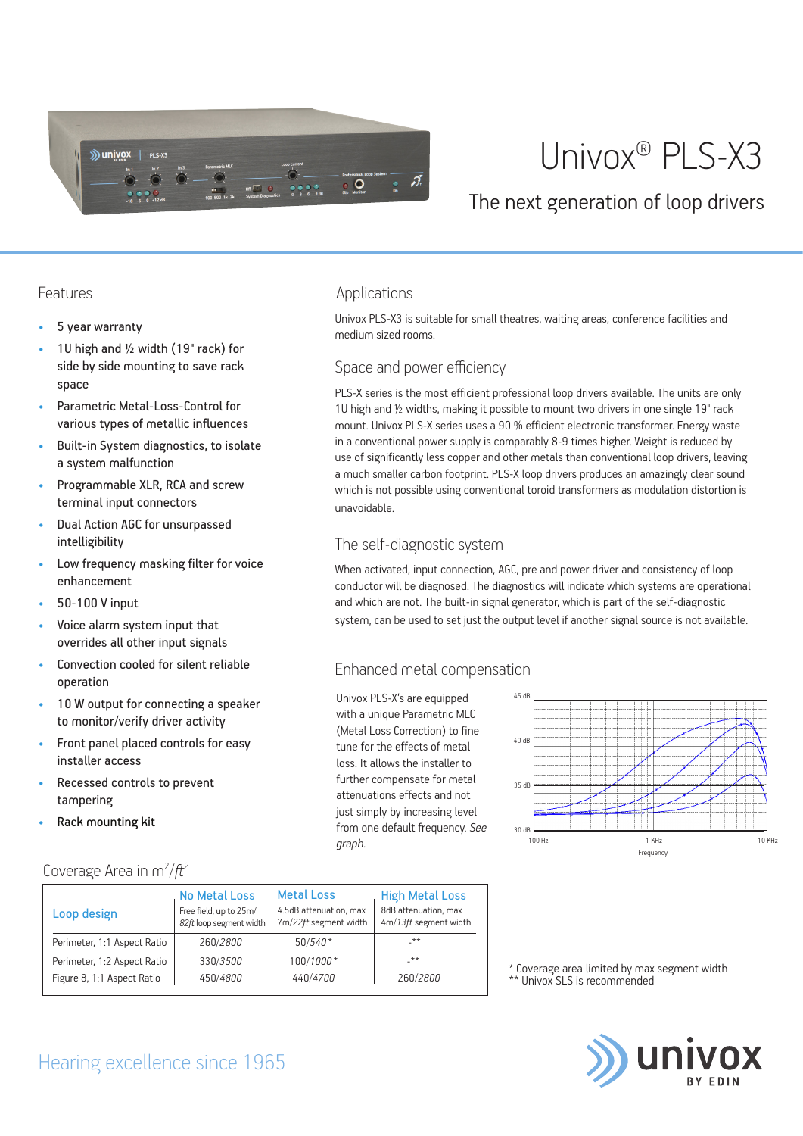

# Univox® PLS-X3

### The next generation of loop drivers

Univox PLS-X3 is suitable for small theatres, waiting areas, conference facilities and

PLS-X series is the most efficient professional loop drivers available. The units are only 1U high and ½ widths, making it possible to mount two drivers in one single 19" rack mount. Univox PLS-X series uses a 90 % efficient electronic transformer. Energy waste in a conventional power supply is comparably 8-9 times higher. Weight is reduced by use of significantly less copper and other metals than conventional loop drivers, leaving a much smaller carbon footprint. PLS-X loop drivers produces an amazingly clear sound which is not possible using conventional toroid transformers as modulation distortion is

When activated, input connection, AGC, pre and power driver and consistency of loop conductor will be diagnosed. The diagnostics will indicate which systems are operational and which are not. The built-in signal generator, which is part of the self-diagnostic system, can be used to set just the output level if another signal source is not available.

medium sized rooms.

Applications

unavoidable.

Space and power efficiency

The self-diagnostic system

Enhanced metal compensation

Univox PLS-X's are equipped with a unique Parametric MLC (Metal Loss Correction) to fine tune for the effects of metal loss. It allows the installer to further compensate for metal attenuations effects and not just simply by increasing level from one default frequency. *See* 

*graph.*

#### Features

- 5 year warranty
- 1U high and 1/2 width (19" rack) for side by side mounting to save rack space
- Parametric Metal-Loss-Control for various types of metallic influences
- Built-in System diagnostics, to isolate a system malfunction
- Programmable XLR, RCA and screw terminal input connectors
- Dual Action AGC for unsurpassed intelligibility
- Low frequency masking filter for voice enhancement
- 50-100 V input
- Voice alarm system input that overrides all other input signals
- Convection cooled for silent reliable operation
- 10 W output for connecting a speaker to monitor/verify driver activity
- Front panel placed controls for easy installer access
- Recessed controls to prevent tampering
- Rack mounting kit

#### Coverage Area in m<sup>2</sup>/ft<sup>2</sup>

| Loop design                 | <b>No Metal Loss</b><br>Free field, up to 25m/<br>82ft loop segment width | <b>Metal Loss</b><br>4.5dB attenuation, max<br>7m/22ft segment width | <b>High Metal Loss</b><br>8dB attenuation, max<br>4m/13ft segment width |
|-----------------------------|---------------------------------------------------------------------------|----------------------------------------------------------------------|-------------------------------------------------------------------------|
| Perimeter, 1:1 Aspect Ratio | 260/2800                                                                  | $50/540*$                                                            | _**                                                                     |
| Perimeter, 1:2 Aspect Ratio | 330/3500                                                                  | 100/1000*                                                            | $***$                                                                   |
| Figure 8, 1:1 Aspect Ratio  | 450/4800                                                                  | 440/4700                                                             | 260/2800                                                                |

## 45 dB 40 dB 35 dB  $\frac{1}{30}$  dB  $\frac{1}{100}$  H<sub>3</sub> 100 Hz 1 KHz 10 KHz Frequency

\* Coverage area limited by max segment width \*\* Univox SLS is recommended



# Hearing excellence since 1965